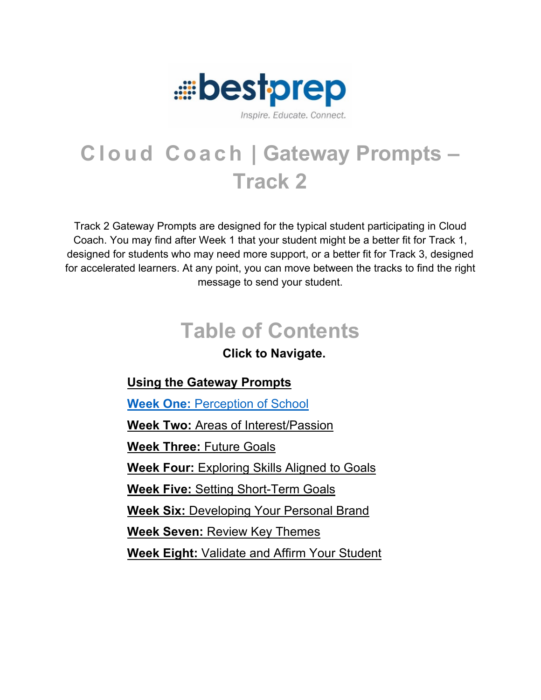

Track 2 Gateway Prompts are designed for the typical student participating in Cloud Coach. You may find after Week 1 that your student might be a better fit for Track 1, designed for students who may need more support, or a better fit for Track 3, designed for accelerated learners. At any point, you can move between the tracks to find the right message to send your student.

# **Table of Contents**

### **Click to Navigate.**

### **[Using the Gateway Prompts](#page-0-0)**

**Week One:** [Perception of School](#page-2-0)

**Week Two:** [Areas of Interest/Passion](#page-4-0)

**[Week Three:](#page-6-0)** Future Goals

**Week Four:** [Exploring Skills Aligned to Goals](#page-7-0)

**Week Five:** [Setting Short-Term Goals](#page-11-0)

**Week Six:** [Developing Your Personal Brand](#page-14-0)

**Week Seven:** [Review Key Themes](#page-16-0)

<span id="page-0-0"></span>**Week Eight:** [Validate and Affirm Your Student](#page-17-0)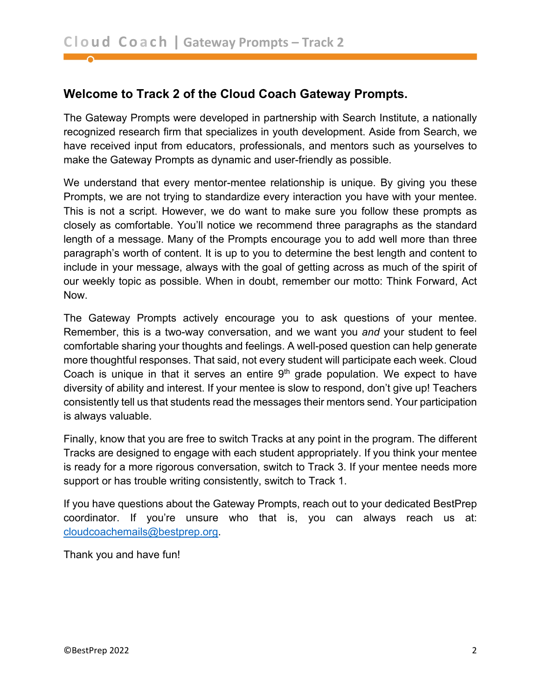#### **Welcome to Track 2 of the Cloud Coach Gateway Prompts.**

The Gateway Prompts were developed in partnership with Search Institute, a nationally recognized research firm that specializes in youth development. Aside from Search, we have received input from educators, professionals, and mentors such as yourselves to make the Gateway Prompts as dynamic and user-friendly as possible.

We understand that every mentor-mentee relationship is unique. By giving you these Prompts, we are not trying to standardize every interaction you have with your mentee. This is not a script. However, we do want to make sure you follow these prompts as closely as comfortable. You'll notice we recommend three paragraphs as the standard length of a message. Many of the Prompts encourage you to add well more than three paragraph's worth of content. It is up to you to determine the best length and content to include in your message, always with the goal of getting across as much of the spirit of our weekly topic as possible. When in doubt, remember our motto: Think Forward, Act Now.

The Gateway Prompts actively encourage you to ask questions of your mentee. Remember, this is a two-way conversation, and we want you *and* your student to feel comfortable sharing your thoughts and feelings. A well-posed question can help generate more thoughtful responses. That said, not every student will participate each week. Cloud Coach is unique in that it serves an entire  $9<sup>th</sup>$  grade population. We expect to have diversity of ability and interest. If your mentee is slow to respond, don't give up! Teachers consistently tell us that students read the messages their mentors send. Your participation is always valuable.

Finally, know that you are free to switch Tracks at any point in the program. The different Tracks are designed to engage with each student appropriately. If you think your mentee is ready for a more rigorous conversation, switch to Track 3. If your mentee needs more support or has trouble writing consistently, switch to Track 1.

If you have questions about the Gateway Prompts, reach out to your dedicated BestPrep coordinator. If you're unsure who that is, you can always reach us at: [cloudcoachemails@bestprep.org.](mailto:cloudcoachemails@bestprep.org)

Thank you and have fun!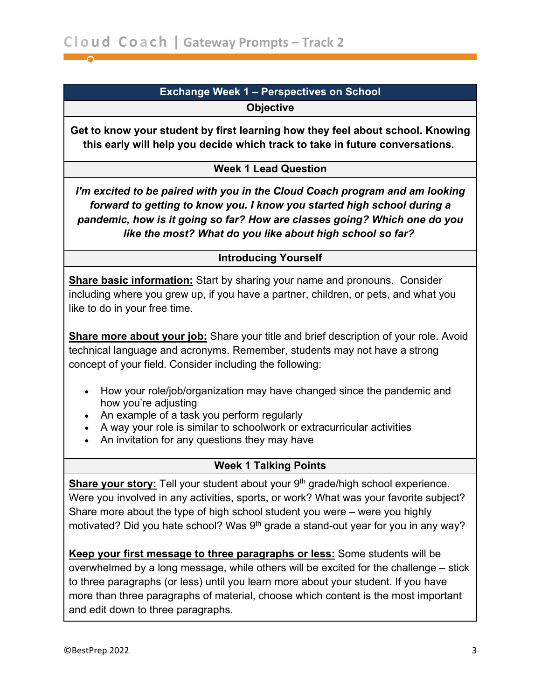#### **Exchange Week 1 – Perspectives on School Objective**

<span id="page-2-0"></span>**Get to know your student by first learning how they feel about school. Knowing this early will help you decide which track to take in future conversations.**

#### **Week 1 Lead Question**

*I'm excited to be paired with you in the Cloud Coach program and am looking forward to getting to know you. I know you started high school during a pandemic, how is it going so far? How are classes going? Which one do you like the most? What do you like about high school so far?*

#### **Introducing Yourself**

**Share basic information:** Start by sharing your name and pronouns. Consider including where you grew up, if you have a partner, children, or pets, and what you like to do in your free time.

**Share more about your job:** Share your title and brief description of your role. Avoid technical language and acronyms. Remember, students may not have a strong concept of your field. Consider including the following:

- How your role/job/organization may have changed since the pandemic and how you're adjusting
- An example of a task you perform regularly
- A way your role is similar to schoolwork or extracurricular activities
- An invitation for any questions they may have

#### **Week 1 Talking Points**

**Share your story:** Tell your student about your 9<sup>th</sup> grade/high school experience. Were you involved in any activities, sports, or work? What was your favorite subject? Share more about the type of high school student you were – were you highly motivated? Did you hate school? Was  $9<sup>th</sup>$  grade a stand-out year for you in any way?

**Keep your first message to three paragraphs or less:** Some students will be overwhelmed by a long message, while others will be excited for the challenge – stick to three paragraphs (or less) until you learn more about your student. If you have more than three paragraphs of material, choose which content is the most important and edit down to three paragraphs.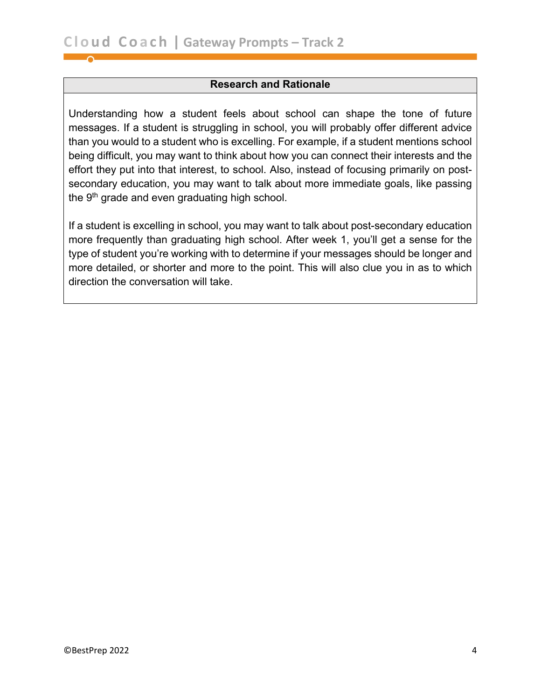#### **Research and Rationale**

Understanding how a student feels about school can shape the tone of future messages. If a student is struggling in school, you will probably offer different advice than you would to a student who is excelling. For example, if a student mentions school being difficult, you may want to think about how you can connect their interests and the effort they put into that interest, to school. Also, instead of focusing primarily on postsecondary education, you may want to talk about more immediate goals, like passing the 9<sup>th</sup> grade and even graduating high school.

If a student is excelling in school, you may want to talk about post-secondary education more frequently than graduating high school. After week 1, you'll get a sense for the type of student you're working with to determine if your messages should be longer and more detailed, or shorter and more to the point. This will also clue you in as to which direction the conversation will take.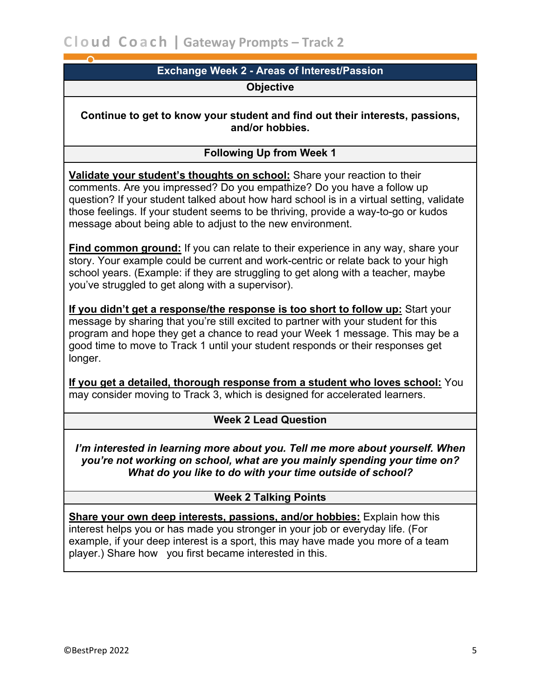#### **Exchange Week 2 - Areas of Interest/Passion**

#### **Objective**

<span id="page-4-0"></span>**Continue to get to know your student and find out their interests, passions, and/or hobbies.**

#### **Following Up from Week 1**

**Validate your student's thoughts on school:** Share your reaction to their comments. Are you impressed? Do you empathize? Do you have a follow up question? If your student talked about how hard school is in a virtual setting, validate those feelings. If your student seems to be thriving, provide a way-to-go or kudos message about being able to adjust to the new environment.

**Find common ground:** If you can relate to their experience in any way, share your story. Your example could be current and work-centric or relate back to your high school years. (Example: if they are struggling to get along with a teacher, maybe you've struggled to get along with a supervisor).

**If you didn't get a response/the response is too short to follow up:** Start your message by sharing that you're still excited to partner with your student for this program and hope they get a chance to read your Week 1 message. This may be a good time to move to Track 1 until your student responds or their responses get longer.

**If you get a detailed, thorough response from a student who loves school:** You may consider moving to Track 3, which is designed for accelerated learners.

#### **Week 2 Lead Question**

*I'm interested in learning more about you. Tell me more about yourself. When you're not working on school, what are you mainly spending your time on? What do you like to do with your time outside of school?*

#### **Week 2 Talking Points**

**Share your own deep interests, passions, and/or hobbies:** Explain how this interest helps you or has made you stronger in your job or everyday life. (For example, if your deep interest is a sport, this may have made you more of a team player.) Share how you first became interested in this.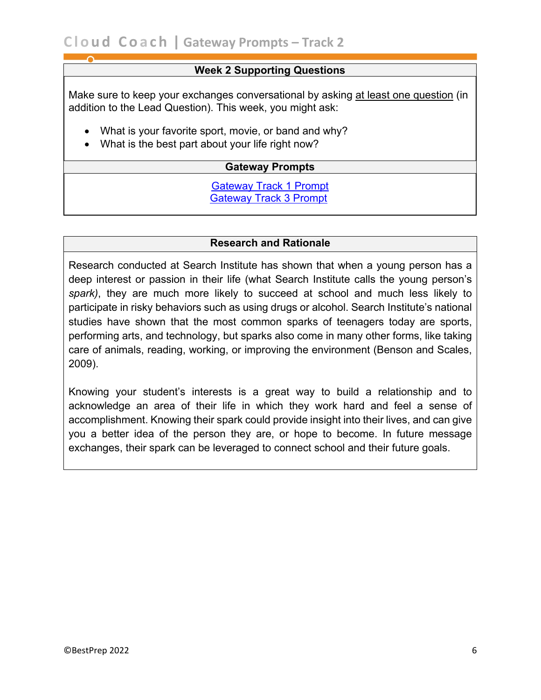#### **Week 2 Supporting Questions**

Make sure to keep your exchanges conversational by asking at least one question (in addition to the Lead Question). This week, you might ask:

- What is your favorite sport, movie, or band and why?
- What is the best part about your life right now?

#### **Gateway Prompts**

#### [Gateway Track 1 Prompt](https://bestprep.org/wp-content/uploads/2018/11/Cloud-Coach-Gateway-Prompts-Track-One-2019.pdf) [Gateway Track 3 Prompt](https://bestprep.org/wp-content/uploads/2018/11/Cloud-Coach-Gateway-Prompts-Track-Three-2019.pdf)

#### **Research and Rationale**

Research conducted at Search Institute has shown that when a young person has a deep interest or passion in their life (what Search Institute calls the young person's *spark)*, they are much more likely to succeed at school and much less likely to participate in risky behaviors such as using drugs or alcohol. Search Institute's national studies have shown that the most common sparks of teenagers today are sports, performing arts, and technology, but sparks also come in many other forms, like taking care of animals, reading, working, or improving the environment (Benson and Scales, 2009).

Knowing your student's interests is a great way to build a relationship and to acknowledge an area of their life in which they work hard and feel a sense of accomplishment. Knowing their spark could provide insight into their lives, and can give you a better idea of the person they are, or hope to become. In future message exchanges, their spark can be leveraged to connect school and their future goals.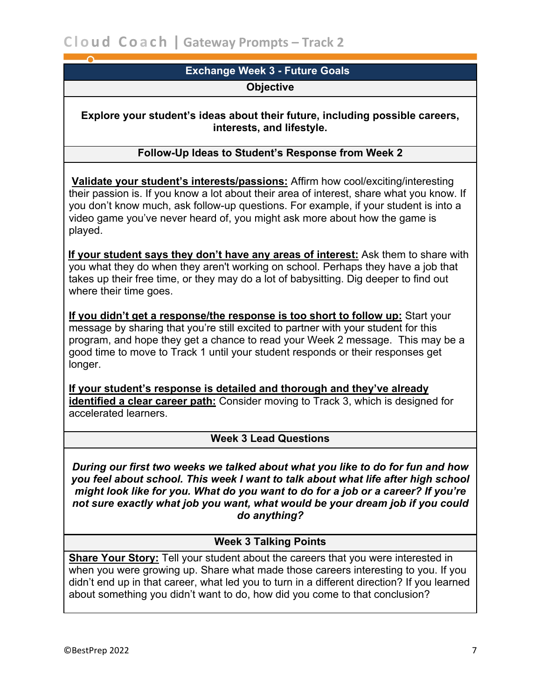## **Exchange Week 3 - Future Goals**

#### **Objective**

<span id="page-6-0"></span>**Explore your student's ideas about their future, including possible careers, interests, and lifestyle.**

#### **Follow-Up Ideas to Student's Response from Week 2**

**Validate your student's interests/passions:** Affirm how cool/exciting/interesting their passion is. If you know a lot about their area of interest, share what you know. If you don't know much, ask follow-up questions. For example, if your student is into a video game you've never heard of, you might ask more about how the game is played.

 **If your student says they don't have any areas of interest:** Ask them to share with you what they do when they aren't working on school. Perhaps they have a job that takes up their free time, or they may do a lot of babysitting. Dig deeper to find out where their time goes.

**If you didn't get a response/the response is too short to follow up:** Start your message by sharing that you're still excited to partner with your student for this program, and hope they get a chance to read your Week 2 message. This may be a good time to move to Track 1 until your student responds or their responses get longer.

**If your student's response is detailed and thorough and they've already identified a clear career path:** Consider moving to Track 3, which is designed for accelerated learners.

#### **Week 3 Lead Questions**

*During our first two weeks we talked about what you like to do for fun and how you feel about school. This week I want to talk about what life after high school might look like for you. What do you want to do for a job or a career? If you're not sure exactly what job you want, what would be your dream job if you could do anything?*

#### **Week 3 Talking Points**

**Share Your Story:** Tell your student about the careers that you were interested in when you were growing up. Share what made those careers interesting to you. If you didn't end up in that career, what led you to turn in a different direction? If you learned about something you didn't want to do, how did you come to that conclusion?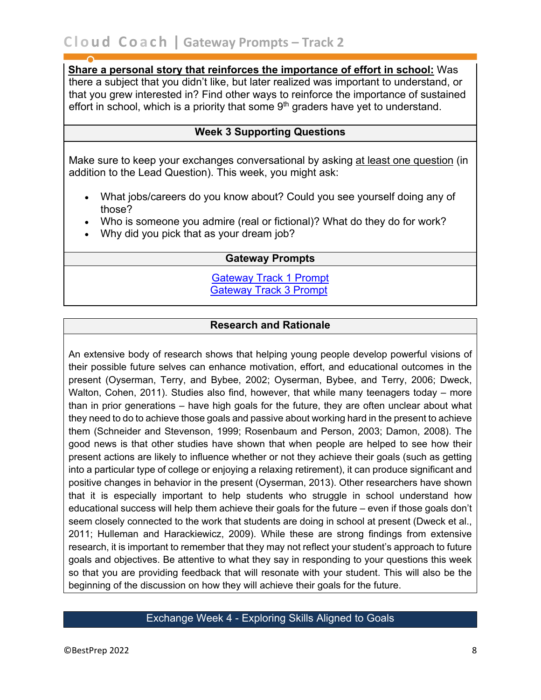**Share a personal story that reinforces the importance of effort in school:** Was there a subject that you didn't like, but later realized was important to understand, or that you grew interested in? Find other ways to reinforce the importance of sustained effort in school, which is a priority that some  $9<sup>th</sup>$  graders have yet to understand.

#### **Week 3 Supporting Questions**

Make sure to keep your exchanges conversational by asking at least one question (in addition to the Lead Question). This week, you might ask:

- What jobs/careers do you know about? Could you see yourself doing any of those?
- Who is someone you admire (real or fictional)? What do they do for work?
- Why did you pick that as your dream job?

#### **Gateway Prompts**

[Gateway Track 1 Prompt](https://bestprep.org/wp-content/uploads/2018/11/Cloud-Coach-Gateway-Prompts-Track-One-2019.pdf) [Gateway Track 3 Prompt](https://bestprep.org/wp-content/uploads/2018/11/Cloud-Coach-Gateway-Prompts-Track-Three-2019.pdf)

#### **Research and Rationale**

An extensive body of research shows that helping young people develop powerful visions of their possible future selves can enhance motivation, effort, and educational outcomes in the present (Oyserman, Terry, and Bybee, 2002; Oyserman, Bybee, and Terry, 2006; Dweck, Walton, Cohen, 2011). Studies also find, however, that while many teenagers today – more than in prior generations – have high goals for the future, they are often unclear about what they need to do to achieve those goals and passive about working hard in the present to achieve them (Schneider and Stevenson, 1999; Rosenbaum and Person, 2003; Damon, 2008). The good news is that other studies have shown that when people are helped to see how their present actions are likely to influence whether or not they achieve their goals (such as getting into a particular type of college or enjoying a relaxing retirement), it can produce significant and positive changes in behavior in the present (Oyserman, 2013). Other researchers have shown that it is especially important to help students who struggle in school understand how educational success will help them achieve their goals for the future – even if those goals don't seem closely connected to the work that students are doing in school at present (Dweck et al., 2011; Hulleman and Harackiewicz, 2009). While these are strong findings from extensive research, it is important to remember that they may not reflect your student's approach to future goals and objectives. Be attentive to what they say in responding to your questions this week so that you are providing feedback that will resonate with your student. This will also be the beginning of the discussion on how they will achieve their goals for the future.

#### <span id="page-7-0"></span>Exchange Week 4 - Exploring Skills Aligned to Goals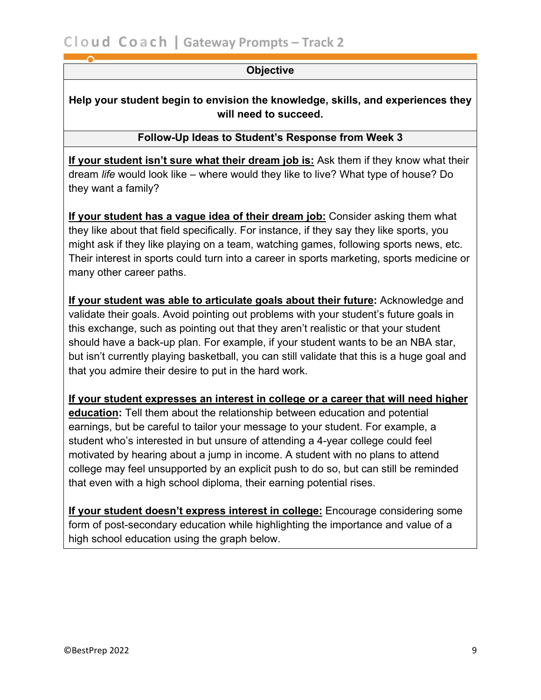#### **Objective**

**Help your student begin to envision the knowledge, skills, and experiences they will need to succeed.**

#### **Follow-Up Ideas to Student's Response from Week 3**

**If your student isn't sure what their dream job is:** Ask them if they know what their dream *life* would look like – where would they like to live? What type of house? Do they want a family?

**If your student has a vague idea of their dream job:** Consider asking them what they like about that field specifically. For instance, if they say they like sports, you might ask if they like playing on a team, watching games, following sports news, etc. Their interest in sports could turn into a career in sports marketing, sports medicine or many other career paths.

**If your student was able to articulate goals about their future:** Acknowledge and validate their goals. Avoid pointing out problems with your student's future goals in this exchange, such as pointing out that they aren't realistic or that your student should have a back-up plan. For example, if your student wants to be an NBA star, but isn't currently playing basketball, you can still validate that this is a huge goal and that you admire their desire to put in the hard work.

**If your student expresses an interest in college or a career that will need higher education:** Tell them about the relationship between education and potential earnings, but be careful to tailor your message to your student. For example, a student who's interested in but unsure of attending a 4-year college could feel motivated by hearing about a jump in income. A student with no plans to attend college may feel unsupported by an explicit push to do so, but can still be reminded that even with a high school diploma, their earning potential rises.

**If your student doesn't express interest in college:** Encourage considering some form of post-secondary education while highlighting the importance and value of a high school education using the graph below.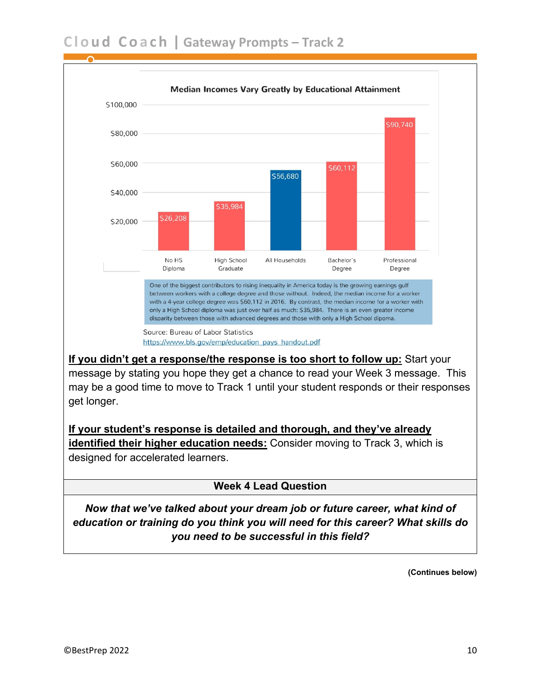

**If you didn't get a response/the response is too short to follow up:** Start your message by stating you hope they get a chance to read your Week 3 message. This may be a good time to move to Track 1 until your student responds or their responses get longer.

**If your student's response is detailed and thorough, and they've already identified their higher education needs:** Consider moving to Track 3, which is designed for accelerated learners.

#### **Week 4 Lead Question**

*Now that we've talked about your dream job or future career, what kind of education or training do you think you will need for this career? What skills do you need to be successful in this field?*

**(Continues below)**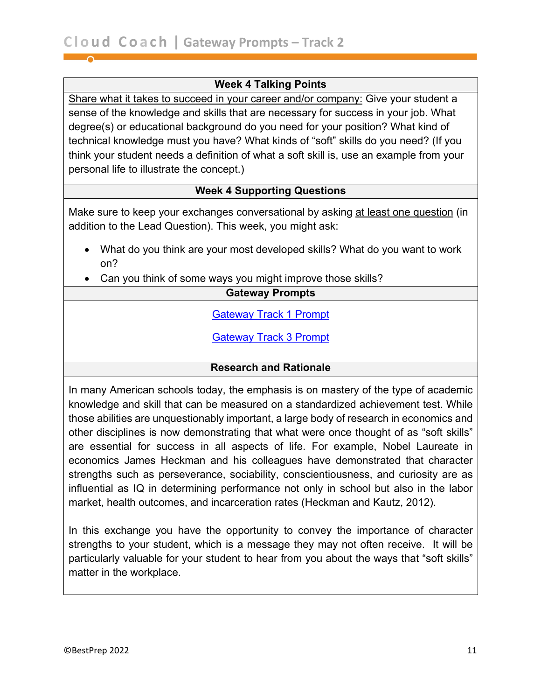#### **Week 4 Talking Points**

Share what it takes to succeed in your career and/or company: Give your student a sense of the knowledge and skills that are necessary for success in your job. What degree(s) or educational background do you need for your position? What kind of technical knowledge must you have? What kinds of "soft" skills do you need? (If you think your student needs a definition of what a soft skill is, use an example from your personal life to illustrate the concept.)

#### **Week 4 Supporting Questions**

Make sure to keep your exchanges conversational by asking at least one question (in addition to the Lead Question). This week, you might ask:

- What do you think are your most developed skills? What do you want to work on?
- Can you think of some ways you might improve those skills?

#### **Gateway Prompts**

[Gateway Track 1 Prompt](https://bestprep.org/wp-content/uploads/2018/11/Cloud-Coach-Gateway-Prompts-Track-One-2019.pdf)

[Gateway Track 3 Prompt](https://bestprep.org/wp-content/uploads/2018/11/Cloud-Coach-Gateway-Prompts-Track-Three-2019.pdf)

#### **Research and Rationale**

In many American schools today, the emphasis is on mastery of the type of academic knowledge and skill that can be measured on a standardized achievement test. While those abilities are unquestionably important, a large body of research in economics and other disciplines is now demonstrating that what were once thought of as "soft skills" are essential for success in all aspects of life. For example, Nobel Laureate in economics James Heckman and his colleagues have demonstrated that character strengths such as perseverance, sociability, conscientiousness, and curiosity are as influential as IQ in determining performance not only in school but also in the labor market, health outcomes, and incarceration rates (Heckman and Kautz, 2012).

In this exchange you have the opportunity to convey the importance of character strengths to your student, which is a message they may not often receive. It will be particularly valuable for your student to hear from you about the ways that "soft skills" matter in the workplace.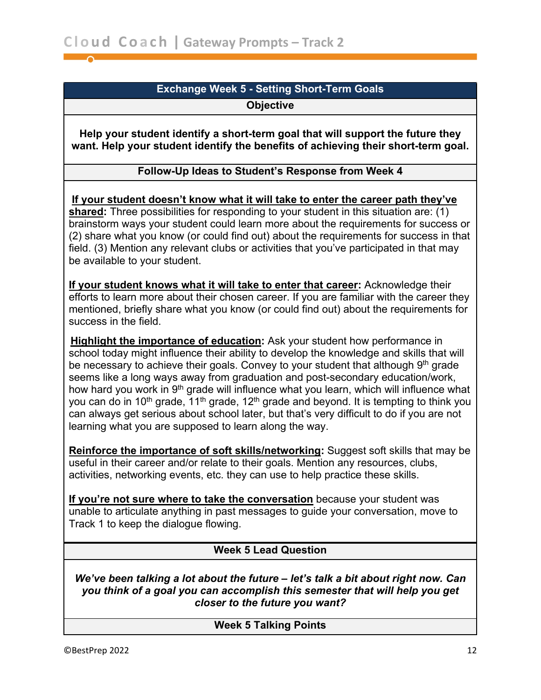#### **Exchange Week 5 - Setting Short-Term Goals Objective**

<span id="page-11-0"></span>**Help your student identify a short-term goal that will support the future they want. Help your student identify the benefits of achieving their short-term goal.**

#### **Follow-Up Ideas to Student's Response from Week 4**

 **If your student doesn't know what it will take to enter the career path they've shared:** Three possibilities for responding to your student in this situation are: (1) brainstorm ways your student could learn more about the requirements for success or (2) share what you know (or could find out) about the requirements for success in that field. (3) Mention any relevant clubs or activities that you've participated in that may be available to your student.

**If your student knows what it will take to enter that career:** Acknowledge their efforts to learn more about their chosen career. If you are familiar with the career they mentioned, briefly share what you know (or could find out) about the requirements for success in the field.

**Highlight the importance of education:** Ask your student how performance in school today might influence their ability to develop the knowledge and skills that will be necessary to achieve their goals. Convey to your student that although  $9<sup>th</sup>$  grade seems like a long ways away from graduation and post-secondary education/work, how hard you work in 9<sup>th</sup> grade will influence what you learn, which will influence what you can do in 10<sup>th</sup> grade, 11<sup>th</sup> grade, 12<sup>th</sup> grade and beyond. It is tempting to think you can always get serious about school later, but that's very difficult to do if you are not learning what you are supposed to learn along the way.

**Reinforce the importance of soft skills/networking:** Suggest soft skills that may be useful in their career and/or relate to their goals. Mention any resources, clubs, activities, networking events, etc. they can use to help practice these skills.

**If you're not sure where to take the conversation** because your student was unable to articulate anything in past messages to guide your conversation, move to Track 1 to keep the dialogue flowing.

#### **Week 5 Lead Question**

*We've been talking a lot about the future – let's talk a bit about right now. Can you think of a goal you can accomplish this semester that will help you get closer to the future you want?*

#### **Week 5 Talking Points**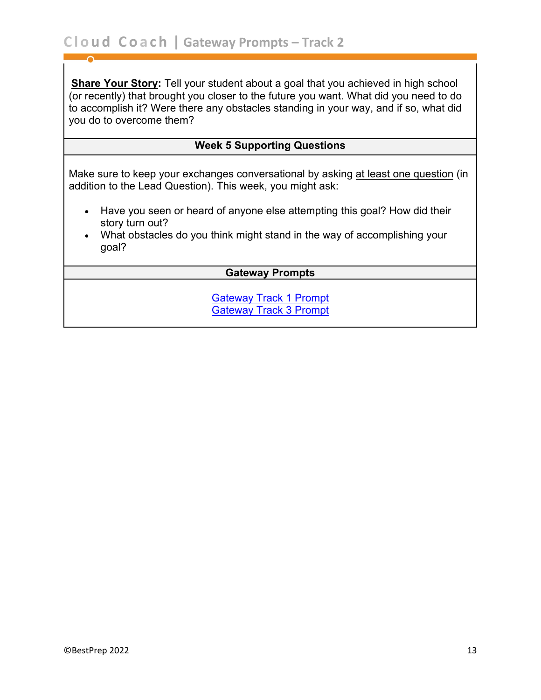**Share Your Story:** Tell your student about a goal that you achieved in high school (or recently) that brought you closer to the future you want. What did you need to do to accomplish it? Were there any obstacles standing in your way, and if so, what did you do to overcome them?

#### **Week 5 Supporting Questions**

Make sure to keep your exchanges conversational by asking at least one question (in addition to the Lead Question). This week, you might ask:

- Have you seen or heard of anyone else attempting this goal? How did their story turn out?
- What obstacles do you think might stand in the way of accomplishing your goal?

#### **Gateway Prompts**

[Gateway Track 1 Prompt](https://bestprep.org/wp-content/uploads/2018/11/Cloud-Coach-Gateway-Prompts-Track-One-2019.pdf) [Gateway Track 3 Prompt](https://bestprep.org/wp-content/uploads/2018/11/Cloud-Coach-Gateway-Prompts-Track-Three-2019.pdf)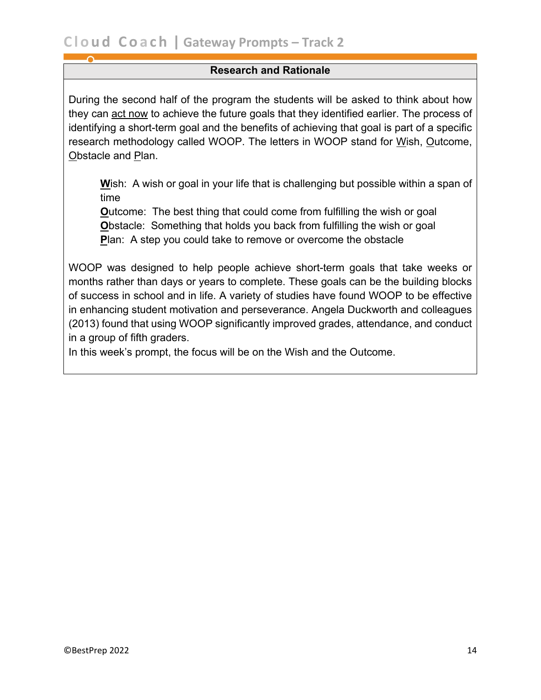#### **Research and Rationale**

During the second half of the program the students will be asked to think about how they can act now to achieve the future goals that they identified earlier. The process of identifying a short-term goal and the benefits of achieving that goal is part of a specific research methodology called WOOP. The letters in WOOP stand for Wish, Outcome, Obstacle and Plan.

**W**ish: A wish or goal in your life that is challenging but possible within a span of time

**Outcome:** The best thing that could come from fulfilling the wish or goal **Obstacle: Something that holds you back from fulfilling the wish or goal P**lan: A step you could take to remove or overcome the obstacle

WOOP was designed to help people achieve short-term goals that take weeks or months rather than days or years to complete. These goals can be the building blocks of success in school and in life. A variety of studies have found WOOP to be effective in enhancing student motivation and perseverance. Angela Duckworth and colleagues (2013) found that using WOOP significantly improved grades, attendance, and conduct in a group of fifth graders.

In this week's prompt, the focus will be on the Wish and the Outcome.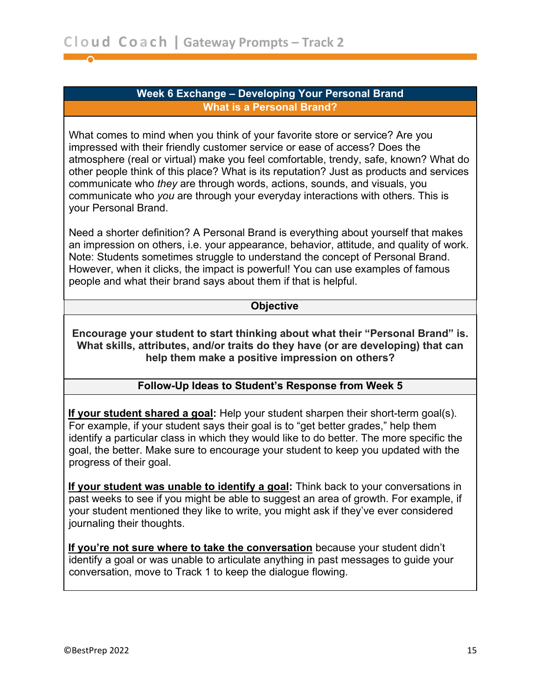#### **Week 6 Exchange – Developing Your Personal Brand What is a Personal Brand?**

<span id="page-14-0"></span>What comes to mind when you think of your favorite store or service? Are you impressed with their friendly customer service or ease of access? Does the atmosphere (real or virtual) make you feel comfortable, trendy, safe, known? What do other people think of this place? What is its reputation? Just as products and services communicate who *they* are through words, actions, sounds, and visuals, you communicate who *you* are through your everyday interactions with others. This is your Personal Brand.

Need a shorter definition? A Personal Brand is everything about yourself that makes an impression on others, i.e. your appearance, behavior, attitude, and quality of work. Note: Students sometimes struggle to understand the concept of Personal Brand. However, when it clicks, the impact is powerful! You can use examples of famous people and what their brand says about them if that is helpful.

#### **Objective**

**Encourage your student to start thinking about what their "Personal Brand" is. What skills, attributes, and/or traits do they have (or are developing) that can help them make a positive impression on others?**

#### **Follow-Up Ideas to Student's Response from Week 5**

 **If your student shared a goal:** Help your student sharpen their short-term goal(s). For example, if your student says their goal is to "get better grades," help them identify a particular class in which they would like to do better. The more specific the goal, the better. Make sure to encourage your student to keep you updated with the progress of their goal.

 **If your student was unable to identify a goal:** Think back to your conversations in past weeks to see if you might be able to suggest an area of growth. For example, if your student mentioned they like to write, you might ask if they've ever considered journaling their thoughts.

 **If you're not sure where to take the conversation** because your student didn't identify a goal or was unable to articulate anything in past messages to guide your conversation, move to Track 1 to keep the dialogue flowing.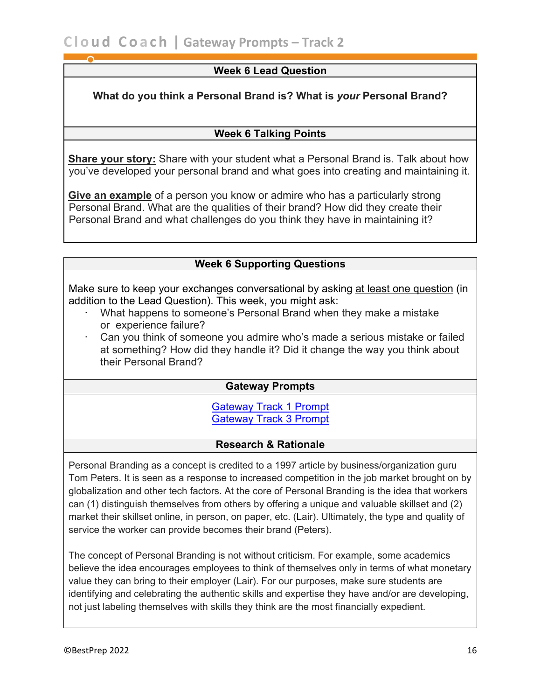#### **Week 6 Lead Question**

**What do you think a Personal Brand is? What is** *your* **Personal Brand?**

#### **Week 6 Talking Points**

 **Share your story:** Share with your student what a Personal Brand is. Talk about how you've developed your personal brand and what goes into creating and maintaining it.

 **Give an example** of a person you know or admire who has a particularly strong Personal Brand. What are the qualities of their brand? How did they create their Personal Brand and what challenges do you think they have in maintaining it?

#### **Week 6 Supporting Questions**

Make sure to keep your exchanges conversational by asking at least one question (in addition to the Lead Question). This week, you might ask:

- · What happens to someone's Personal Brand when they make a mistake or experience failure?
- · Can you think of someone you admire who's made a serious mistake or failed at something? How did they handle it? Did it change the way you think about their Personal Brand?

#### **Gateway Prompts**

[Gateway Track 1 Prompt](https://bestprep.org/wp-content/uploads/2018/11/Cloud-Coach-Gateway-Prompts-Track-One-2019.pdf) [Gateway Track 3 Prompt](https://bestprep.org/wp-content/uploads/2018/11/Cloud-Coach-Gateway-Prompts-Track-Three-2019.pdf)

#### **Research & Rationale**

Personal Branding as a concept is credited to a 1997 article by business/organization guru Tom Peters. It is seen as a response to increased competition in the job market brought on by globalization and other tech factors. At the core of Personal Branding is the idea that workers can (1) distinguish themselves from others by offering a unique and valuable skillset and (2) market their skillset online, in person, on paper, etc. (Lair). Ultimately, the type and quality of service the worker can provide becomes their brand (Peters).

The concept of Personal Branding is not without criticism. For example, some academics believe the idea encourages employees to think of themselves only in terms of what monetary value they can bring to their employer (Lair). For our purposes, make sure students are identifying and celebrating the authentic skills and expertise they have and/or are developing, not just labeling themselves with skills they think are the most financially expedient.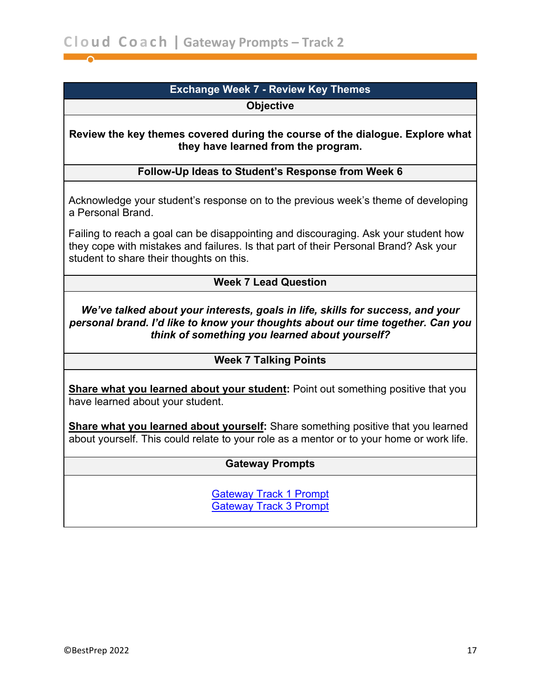## **Exchange Week 7 - Review Key Themes**

**Objective**

<span id="page-16-0"></span>**Review the key themes covered during the course of the dialogue. Explore what they have learned from the program.**

#### **Follow-Up Ideas to Student's Response from Week 6**

 Acknowledge your student's response on to the previous week's theme of developing a Personal Brand.

 Failing to reach a goal can be disappointing and discouraging. Ask your student how they cope with mistakes and failures. Is that part of their Personal Brand? Ask your student to share their thoughts on this.

#### **Week 7 Lead Question**

*We've talked about your interests, goals in life, skills for success, and your personal brand. I'd like to know your thoughts about our time together. Can you think of something you learned about yourself?*

#### **Week 7 Talking Points**

 **Share what you learned about your student:** Point out something positive that you have learned about your student.

**Share what you learned about yourself:** Share something positive that you learned about yourself. This could relate to your role as a mentor or to your home or work life.

#### **Gateway Prompts**

[Gateway Track 1 Prompt](https://bestprep.org/wp-content/uploads/2018/11/Cloud-Coach-Gateway-Prompts-Track-One-2019.pdf) [Gateway Track 3 Prompt](https://bestprep.org/wp-content/uploads/2018/11/Cloud-Coach-Gateway-Prompts-Track-Three-2019.pdf)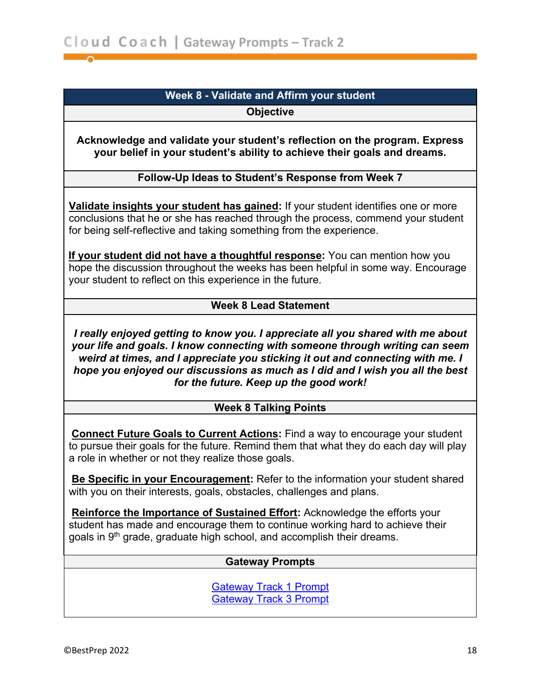## **Week 8 - Validate and Affirm your student**

**Objective**

<span id="page-17-0"></span>**Acknowledge and validate your student's reflection on the program. Express your belief in your student's ability to achieve their goals and dreams.**

#### **Follow-Up Ideas to Student's Response from Week 7**

**Validate insights your student has gained:** If your student identifies one or more conclusions that he or she has reached through the process, commend your student for being self-reflective and taking something from the experience.

 **If your student did not have a thoughtful response:** You can mention how you hope the discussion throughout the weeks has been helpful in some way. Encourage your student to reflect on this experience in the future.

#### **Week 8 Lead Statement**

*I really enjoyed getting to know you. I appreciate all you shared with me about your life and goals. I know connecting with someone through writing can seem weird at times, and I appreciate you sticking it out and connecting with me. I hope you enjoyed our discussions as much as I did and I wish you all the best for the future. Keep up the good work!*

#### **Week 8 Talking Points**

 **Connect Future Goals to Current Actions:** Find a way to encourage your student to pursue their goals for the future. Remind them that what they do each day will play a role in whether or not they realize those goals.

 **Be Specific in your Encouragement:** Refer to the information your student shared with you on their interests, goals, obstacles, challenges and plans.

 **Reinforce the Importance of Sustained Effort:** Acknowledge the efforts your student has made and encourage them to continue working hard to achieve their goals in 9<sup>th</sup> grade, graduate high school, and accomplish their dreams.

#### **Gateway Prompts**

[Gateway Track 1 Prompt](https://bestprep.org/wp-content/uploads/2018/11/Cloud-Coach-Gateway-Prompts-Track-One-2019.pdf) [Gateway Track 3 Prompt](https://bestprep.org/wp-content/uploads/2018/11/Cloud-Coach-Gateway-Prompts-Track-Three-2019.pdf)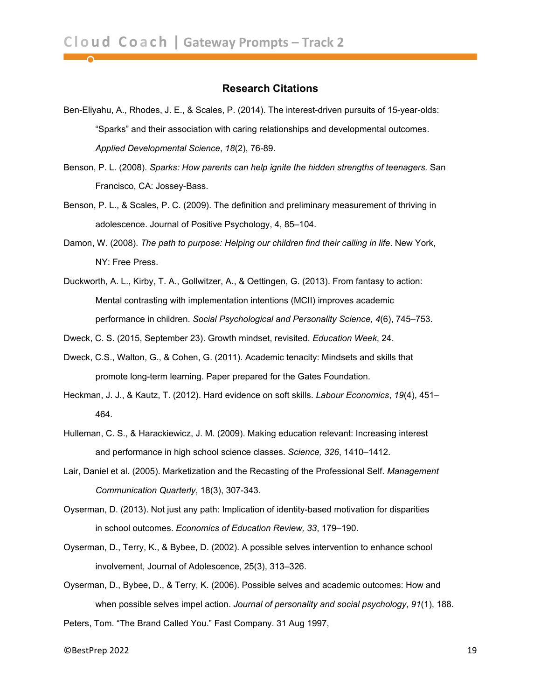#### **Research Citations**

- Ben-Eliyahu, A., Rhodes, J. E., & Scales, P. (2014). The interest-driven pursuits of 15-year-olds: "Sparks" and their association with caring relationships and developmental outcomes. *Applied Developmental Science*, *18*(2), 76-89.
- Benson, P. L. (2008). *Sparks: How parents can help ignite the hidden strengths of teenagers.* San Francisco, CA: Jossey-Bass.
- Benson, P. L., & Scales, P. C. (2009). The definition and preliminary measurement of thriving in adolescence. Journal of Positive Psychology, 4, 85–104.
- Damon, W. (2008). *The path to purpose: Helping our children find their calling in life*. New York, NY: Free Press.
- Duckworth, A. L., Kirby, T. A., Gollwitzer, A., & Oettingen, G. (2013). From fantasy to action: Mental contrasting with implementation intentions (MCII) improves academic performance in children. *Social Psychological and Personality Science, 4*(6), 745–753.
- Dweck, C. S. (2015, September 23). Growth mindset, revisited. *Education Week*, 24.
- Dweck, C.S., Walton, G., & Cohen, G. (2011). Academic tenacity: Mindsets and skills that promote long-term learning. Paper prepared for the Gates Foundation.
- Heckman, J. J., & Kautz, T. (2012). Hard evidence on soft skills. *Labour Economics*, *19*(4), 451– 464.
- Hulleman, C. S., & Harackiewicz, J. M. (2009). Making education relevant: Increasing interest and performance in high school science classes. *Science, 326*, 1410–1412.
- Lair, Daniel et al. (2005). Marketization and the Recasting of the Professional Self. *Management Communication Quarterly*, 18(3), 307-343.
- Oyserman, D. (2013). Not just any path: Implication of identity-based motivation for disparities in school outcomes. *Economics of Education Review, 33*, 179–190.
- Oyserman, D., Terry, K., & Bybee, D. (2002). A possible selves intervention to enhance school involvement, Journal of Adolescence, 25(3), 313–326.
- Oyserman, D., Bybee, D., & Terry, K. (2006). Possible selves and academic outcomes: How and when possible selves impel action. *Journal of personality and social psychology*, *91*(1), 188.
- Peters, Tom. "The Brand Called You." Fast Company. 31 Aug 1997,